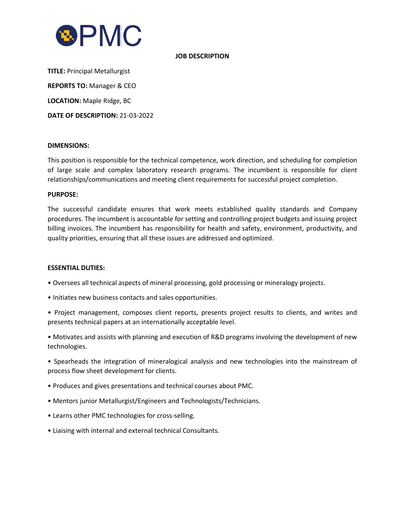

### **JOB DESCRIPTION**

**TITLE:** Principal Metallurgist **REPORTS TO:** Manager & CEO **LOCATION:** Maple Ridge, BC **DATE OF DESCRIPTION:** 21-03-2022

#### **DIMENSIONS:**

This position is responsible for the technical competence, work direction, and scheduling for completion of large scale and complex laboratory research programs. The incumbent is responsible for client relationships/communications and meeting client requirements for successful project completion.

#### **PURPOSE:**

The successful candidate ensures that work meets established quality standards and Company procedures. The incumbent is accountable for setting and controlling project budgets and issuing project billing invoices. The incumbent has responsibility for health and safety, environment, productivity, and quality priorities, ensuring that all these issues are addressed and optimized.

#### **ESSENTIAL DUTIES:**

- Oversees all technical aspects of mineral processing, gold processing or mineralogy projects.
- Initiates new business contacts and sales opportunities.
- Project management, composes client reports, presents project results to clients, and writes and presents technical papers at an internationally acceptable level.
- Motivates and assists with planning and execution of R&D programs involving the development of new technologies.
- Spearheads the integration of mineralogical analysis and new technologies into the mainstream of process flow sheet development for clients.
- Produces and gives presentations and technical courses about PMC.
- Mentors junior Metallurgist/Engineers and Technologists/Technicians.
- Learns other PMC technologies for cross-selling.
- Liaising with internal and external technical Consultants.